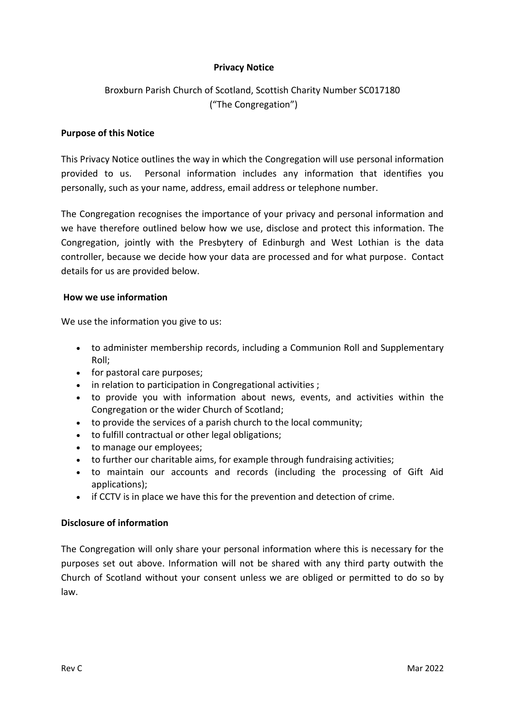## **Privacy Notice**

# Broxburn Parish Church of Scotland, Scottish Charity Number SC017180 ("The Congregation")

#### **Purpose of this Notice**

This Privacy Notice outlines the way in which the Congregation will use personal information provided to us. Personal information includes any information that identifies you personally, such as your name, address, email address or telephone number.

The Congregation recognises the importance of your privacy and personal information and we have therefore outlined below how we use, disclose and protect this information. The Congregation, jointly with the Presbytery of Edinburgh and West Lothian is the data controller, because we decide how your data are processed and for what purpose. Contact details for us are provided below.

#### **How we use information**

We use the information you give to us:

- to administer membership records, including a Communion Roll and Supplementary Roll;
- for pastoral care purposes;
- in relation to participation in Congregational activities ;
- to provide you with information about news, events, and activities within the Congregation or the wider Church of Scotland;
- to provide the services of a parish church to the local community;
- to fulfill contractual or other legal obligations;
- to manage our employees;
- to further our charitable aims, for example through fundraising activities;
- to maintain our accounts and records (including the processing of Gift Aid applications);
- if CCTV is in place we have this for the prevention and detection of crime.

#### **Disclosure of information**

The Congregation will only share your personal information where this is necessary for the purposes set out above. Information will not be shared with any third party outwith the Church of Scotland without your consent unless we are obliged or permitted to do so by law.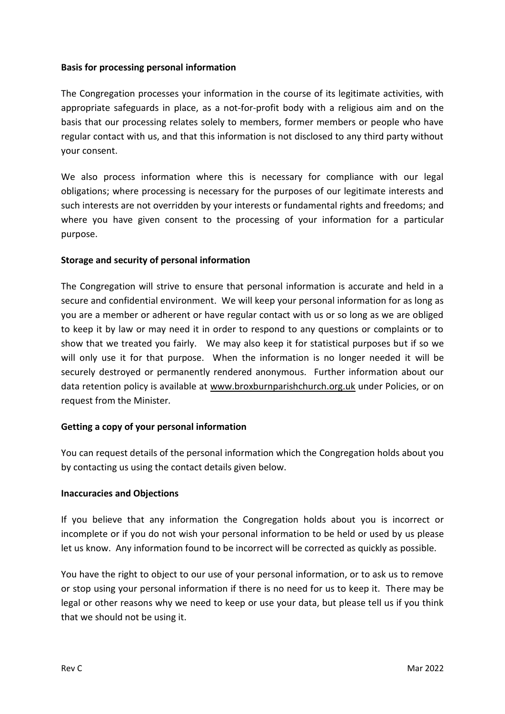### **Basis for processing personal information**

The Congregation processes your information in the course of its legitimate activities, with appropriate safeguards in place, as a not-for-profit body with a religious aim and on the basis that our processing relates solely to members, former members or people who have regular contact with us, and that this information is not disclosed to any third party without your consent.

We also process information where this is necessary for compliance with our legal obligations; where processing is necessary for the purposes of our legitimate interests and such interests are not overridden by your interests or fundamental rights and freedoms; and where you have given consent to the processing of your information for a particular purpose.

### **Storage and security of personal information**

The Congregation will strive to ensure that personal information is accurate and held in a secure and confidential environment. We will keep your personal information for as long as you are a member or adherent or have regular contact with us or so long as we are obliged to keep it by law or may need it in order to respond to any questions or complaints or to show that we treated you fairly. We may also keep it for statistical purposes but if so we will only use it for that purpose. When the information is no longer needed it will be securely destroyed or permanently rendered anonymous. Further information about our data retention policy is available at [www.broxburnparishchurch.org.uk](http://www.broxburnparishchurch.org.uk/) under Policies, or on request from the Minister*.*

# **Getting a copy of your personal information**

You can request details of the personal information which the Congregation holds about you by contacting us using the contact details given below.

#### **Inaccuracies and Objections**

If you believe that any information the Congregation holds about you is incorrect or incomplete or if you do not wish your personal information to be held or used by us please let us know. Any information found to be incorrect will be corrected as quickly as possible.

You have the right to object to our use of your personal information, or to ask us to remove or stop using your personal information if there is no need for us to keep it. There may be legal or other reasons why we need to keep or use your data, but please tell us if you think that we should not be using it.